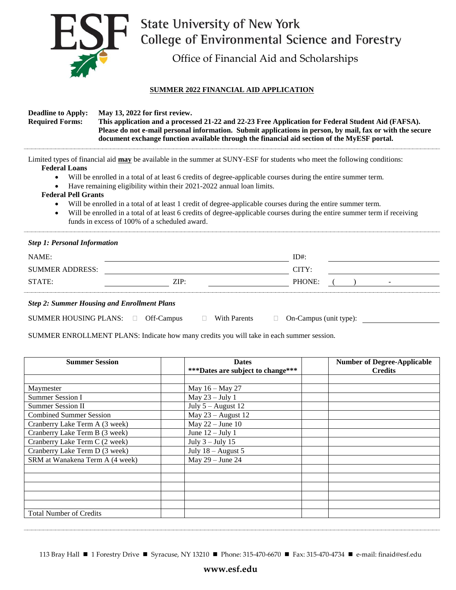

## EST State University of New York<br>College of Environmental Science and F<br>Office of Financial Aid and Scholarships College of Environmental Science and Forestry

## **SUMMER 2022 FINANCIAL AID APPLICATION**

| <b>Deadline to Apply:</b><br><b>Required Forms:</b>                                                                                                                                                                                                                                                                                                                                                                                                                                                                                                                                                                                                                                  | May 13, 2022 for first review.<br>This application and a processed 21-22 and 22-23 Free Application for Federal Student Aid (FAFSA).<br>Please do not e-mail personal information. Submit applications in person, by mail, fax or with the secure<br>document exchange function available through the financial aid section of the MyESF portal. |         |  |  |  |  |  |
|--------------------------------------------------------------------------------------------------------------------------------------------------------------------------------------------------------------------------------------------------------------------------------------------------------------------------------------------------------------------------------------------------------------------------------------------------------------------------------------------------------------------------------------------------------------------------------------------------------------------------------------------------------------------------------------|--------------------------------------------------------------------------------------------------------------------------------------------------------------------------------------------------------------------------------------------------------------------------------------------------------------------------------------------------|---------|--|--|--|--|--|
| Limited types of financial aid may be available in the summer at SUNY-ESF for students who meet the following conditions:<br><b>Federal Loans</b><br>Will be enrolled in a total of at least 6 credits of degree-applicable courses during the entire summer term.<br>Have remaining eligibility within their 2021-2022 annual loan limits.<br><b>Federal Pell Grants</b><br>Will be enrolled in a total of at least 1 credit of degree-applicable courses during the entire summer term.<br>Will be enrolled in a total of at least 6 credits of degree-applicable courses during the entire summer term if receiving<br>$\bullet$<br>funds in excess of 100% of a scheduled award. |                                                                                                                                                                                                                                                                                                                                                  |         |  |  |  |  |  |
| <b>Step 1: Personal Information</b>                                                                                                                                                                                                                                                                                                                                                                                                                                                                                                                                                                                                                                                  |                                                                                                                                                                                                                                                                                                                                                  |         |  |  |  |  |  |
| NAME:                                                                                                                                                                                                                                                                                                                                                                                                                                                                                                                                                                                                                                                                                |                                                                                                                                                                                                                                                                                                                                                  | $ID#$ : |  |  |  |  |  |
| <b>SUMMER ADDRESS:</b>                                                                                                                                                                                                                                                                                                                                                                                                                                                                                                                                                                                                                                                               |                                                                                                                                                                                                                                                                                                                                                  | CITY:   |  |  |  |  |  |
| STATE:                                                                                                                                                                                                                                                                                                                                                                                                                                                                                                                                                                                                                                                                               | ZIP:                                                                                                                                                                                                                                                                                                                                             | PHONE:  |  |  |  |  |  |
| <b>Step 2: Summer Housing and Enrollment Plans</b>                                                                                                                                                                                                                                                                                                                                                                                                                                                                                                                                                                                                                                   |                                                                                                                                                                                                                                                                                                                                                  |         |  |  |  |  |  |

| <b>SUMMER HOUSING PLANS:</b> | Off-Campus |  | With Parents | $\Box$ On-Campus (unit type): |  |
|------------------------------|------------|--|--------------|-------------------------------|--|
|------------------------------|------------|--|--------------|-------------------------------|--|

SUMMER ENROLLMENT PLANS: Indicate how many credits you will take in each summer session.

| <b>Summer Session</b>           | <b>Dates</b>                      | <b>Number of Degree-Applicable</b> |  |
|---------------------------------|-----------------------------------|------------------------------------|--|
|                                 | ***Dates are subject to change*** | <b>Credits</b>                     |  |
|                                 |                                   |                                    |  |
| Maymester                       | May 16 - May 27                   |                                    |  |
| <b>Summer Session I</b>         | May $23 - July 1$                 |                                    |  |
| <b>Summer Session II</b>        | July $5 -$ August 12              |                                    |  |
| <b>Combined Summer Session</b>  | May $23$ – August 12              |                                    |  |
| Cranberry Lake Term A (3 week)  | May $22 - June 10$                |                                    |  |
| Cranberry Lake Term B (3 week)  | June $12 -$ July 1                |                                    |  |
| Cranberry Lake Term C (2 week)  | July $3$ – July 15                |                                    |  |
| Cranberry Lake Term D (3 week)  | July $18 -$ August 5              |                                    |  |
| SRM at Wanakena Term A (4 week) | May $29 -$ June $24$              |                                    |  |
|                                 |                                   |                                    |  |
|                                 |                                   |                                    |  |
|                                 |                                   |                                    |  |
|                                 |                                   |                                    |  |
|                                 |                                   |                                    |  |
| <b>Total Number of Credits</b>  |                                   |                                    |  |

113 Bray Hall ■ 1 Forestry Drive ■ Syracuse, NY 13210 ■ Phone: 315-470-6670 ■ Fax: 315-470-4734 ■ e-mail: finaid@esf.edu